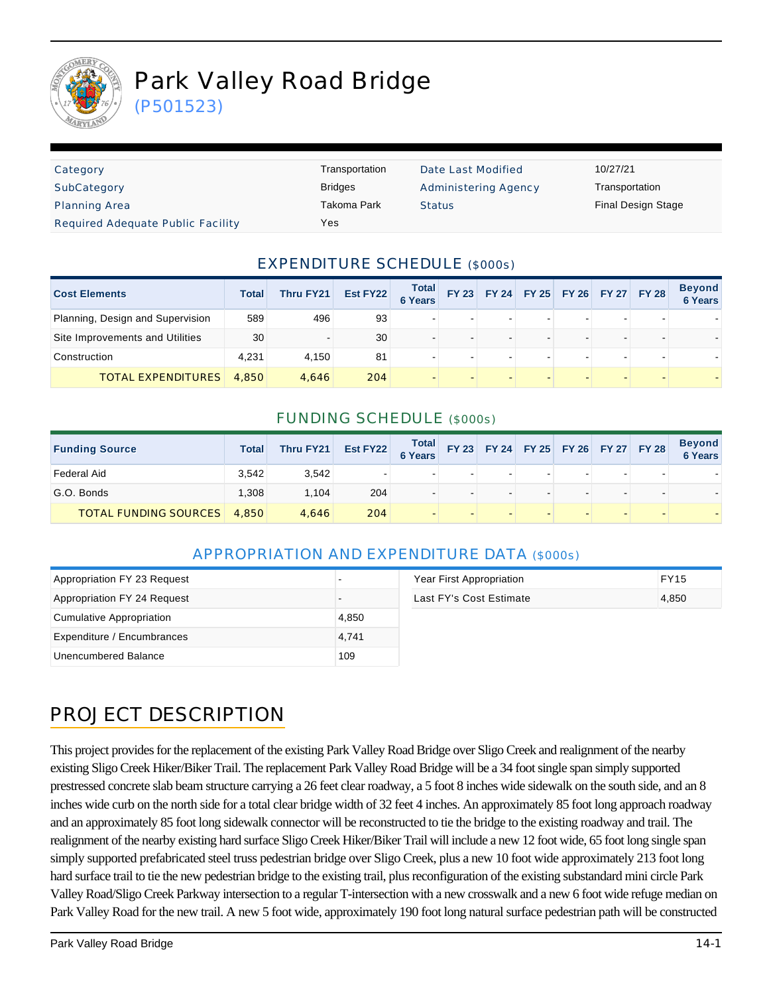

(P501523)

| Category                          | Transportation | Date Last Modified          | 10/27/21           |
|-----------------------------------|----------------|-----------------------------|--------------------|
| SubCategory                       | <b>Bridges</b> | <b>Administering Agency</b> | Transportation     |
| <b>Planning Area</b>              | Takoma Park    | <b>Status</b>               | Final Design Stage |
| Required Adequate Public Facility | Yes            |                             |                    |

### EXPENDITURE SCHEDULE (\$000s)

| <b>Cost Elements</b>             | Total | Thru FY21 | Est FY22 | <b>Total</b><br>6 Years |  |                          |  | FY 23 FY 24 FY 25 FY 26 FY 27 FY 28 | <b>Beyond</b><br><b>6 Years</b> |
|----------------------------------|-------|-----------|----------|-------------------------|--|--------------------------|--|-------------------------------------|---------------------------------|
| Planning, Design and Supervision | 589   | 496       | 93       |                         |  | $\overline{\phantom{0}}$ |  |                                     |                                 |
| Site Improvements and Utilities  | 30    |           | 30       |                         |  |                          |  |                                     |                                 |
| Construction                     | 4.231 | 4.150     | 81       |                         |  |                          |  |                                     |                                 |
| <b>TOTAL EXPENDITURES</b>        | 4,850 | 4.646     | 204      |                         |  |                          |  |                                     |                                 |

### FUNDING SCHEDULE (\$000s)

| <b>Funding Source</b>        | <b>Total</b> | Thru FY21 | Est FY22 | Total<br>6 Years         |  | FY 23 FY 24 FY 25 FY 26 FY 27 FY 28 |  | <b>Beyond<br/>6 Years</b> |
|------------------------------|--------------|-----------|----------|--------------------------|--|-------------------------------------|--|---------------------------|
| Federal Aid                  | 3.542        | 3.542     |          | $\overline{\phantom{a}}$ |  |                                     |  |                           |
| G.O. Bonds                   | .308         | 1.104     | 204      | $\overline{\phantom{a}}$ |  |                                     |  |                           |
| <b>TOTAL FUNDING SOURCES</b> | 4,850        | 4.646     | 204      | $\overline{\phantom{a}}$ |  |                                     |  |                           |

#### APPROPRIATION AND EXPENDITURE DATA (\$000s)

| Appropriation FY 23 Request |       | Year First Appropriation | <b>FY15</b> |
|-----------------------------|-------|--------------------------|-------------|
| Appropriation FY 24 Request |       | Last FY's Cost Estimate  | 4,850       |
| Cumulative Appropriation    | 4,850 |                          |             |
| Expenditure / Encumbrances  | 4.741 |                          |             |
| Unencumbered Balance        | 109   |                          |             |

# PROJECT DESCRIPTION

This project provides for the replacement of the existing Park Valley Road Bridge over Sligo Creek and realignment of the nearby existing Sligo Creek Hiker/Biker Trail. The replacement Park Valley Road Bridge will be a 34 foot single span simply supported prestressed concrete slab beam structure carrying a 26 feet clear roadway, a 5 foot 8 inches wide sidewalk on the south side, and an 8 inches wide curb on the north side for a total clear bridge width of 32 feet 4 inches. An approximately 85 foot long approach roadway and an approximately 85 foot long sidewalk connector will be reconstructed to tie the bridge to the existing roadway and trail. The realignment of the nearby existing hard surface Sligo Creek Hiker/Biker Trail will include a new 12 foot wide, 65 foot long single span simply supported prefabricated steel truss pedestrian bridge over Sligo Creek, plus a new 10 foot wide approximately 213 foot long hard surface trail to tie the new pedestrian bridge to the existing trail, plus reconfiguration of the existing substandard mini circle Park Valley Road/Sligo Creek Parkway intersection to a regular T-intersection with a new crosswalk and a new 6 foot wide refuge median on Park Valley Road for the new trail. A new 5 foot wide, approximately 190 foot long natural surface pedestrian path will be constructed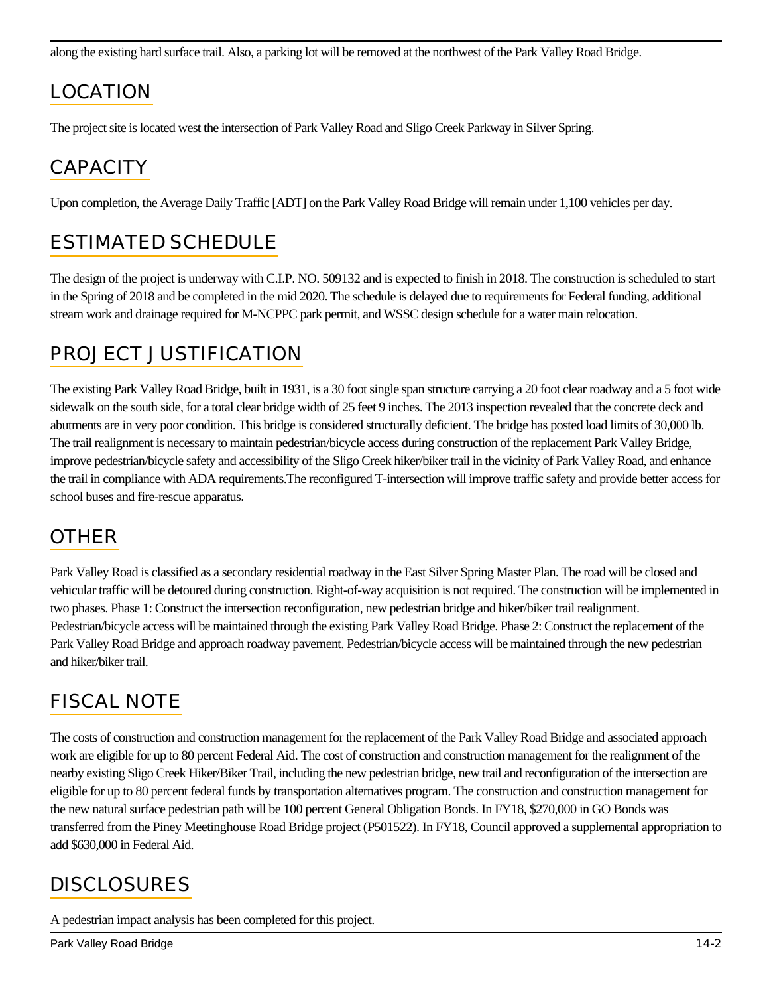along the existing hard surface trail. Also, a parking lot will be removed at the northwest of the Park Valley Road Bridge.

# LOCATION

The project site is located west the intersection of Park Valley Road and Sligo Creek Parkway in Silver Spring.

## **CAPACITY**

Upon completion, the Average Daily Traffic [ADT] on the Park Valley Road Bridge will remain under 1,100 vehicles per day.

# ESTIMATED SCHEDULE

The design of the project is underway with C.I.P. NO. 509132 and is expected to finish in 2018. The construction is scheduled to start in the Spring of 2018 and be completed in the mid 2020. The schedule is delayed due to requirements for Federal funding, additional stream work and drainage required for M-NCPPC park permit, and WSSC design schedule for a water main relocation.

### PROJECT JUSTIFICATION

The existing Park Valley Road Bridge, built in 1931, is a 30 foot single span structure carrying a 20 foot clear roadway and a 5 foot wide sidewalk on the south side, for a total clear bridge width of 25 feet 9 inches. The 2013 inspection revealed that the concrete deck and abutments are in very poor condition. This bridge is considered structurally deficient. The bridge has posted load limits of 30,000 lb. The trail realignment is necessary to maintain pedestrian/bicycle access during construction of the replacement Park Valley Bridge, improve pedestrian/bicycle safety and accessibility of the Sligo Creek hiker/biker trail in the vicinity of Park Valley Road, and enhance the trail in compliance with ADA requirements.The reconfigured T-intersection will improve traffic safety and provide better access for school buses and fire-rescue apparatus.

## OTHER

Park Valley Road is classified as a secondary residential roadway in the East Silver Spring Master Plan. The road will be closed and vehicular traffic will be detoured during construction. Right-of-way acquisition is not required. The construction will be implemented in two phases. Phase 1: Construct the intersection reconfiguration, new pedestrian bridge and hiker/biker trail realignment. Pedestrian/bicycle access will be maintained through the existing Park Valley Road Bridge. Phase 2: Construct the replacement of the Park Valley Road Bridge and approach roadway pavement. Pedestrian/bicycle access will be maintained through the new pedestrian and hiker/biker trail.

## FISCAL NOTE

The costs of construction and construction management for the replacement of the Park Valley Road Bridge and associated approach work are eligible for up to 80 percent Federal Aid. The cost of construction and construction management for the realignment of the nearby existing Sligo Creek Hiker/Biker Trail, including the new pedestrian bridge, new trail and reconfiguration of the intersection are eligible for up to 80 percent federal funds by transportation alternatives program. The construction and construction management for the new natural surface pedestrian path will be 100 percent General Obligation Bonds. In FY18, \$270,000 in GO Bonds was transferred from the Piney Meetinghouse Road Bridge project (P501522). In FY18, Council approved a supplemental appropriation to add \$630,000 in Federal Aid.

## **DISCLOSURES**

A pedestrian impact analysis has been completed for this project.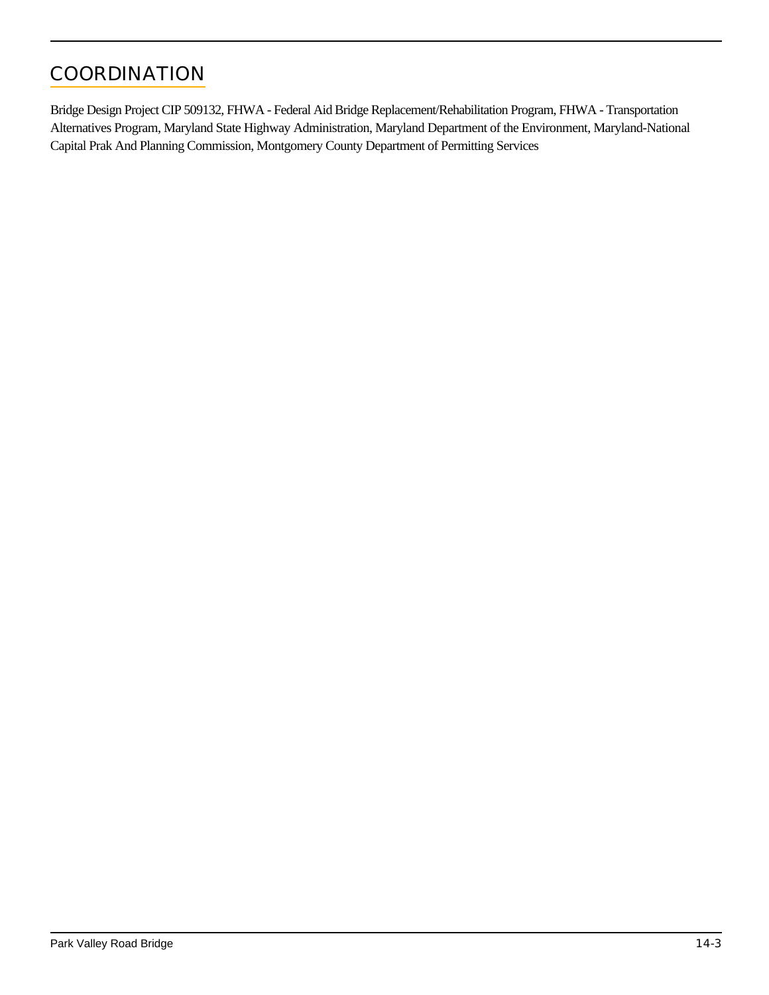# **COORDINATION**

Bridge Design Project CIP 509132, FHWA - Federal Aid Bridge Replacement/Rehabilitation Program, FHWA - Transportation Alternatives Program, Maryland State Highway Administration, Maryland Department of the Environment, Maryland-National Capital Prak And Planning Commission, Montgomery County Department of Permitting Services